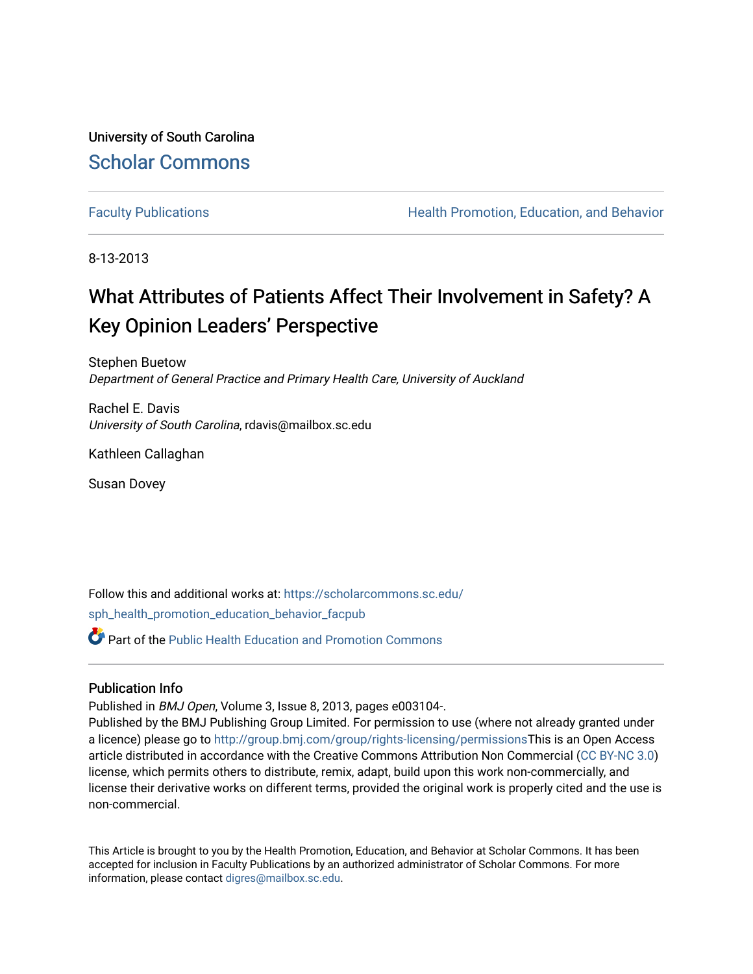University of South Carolina [Scholar Commons](https://scholarcommons.sc.edu/) 

[Faculty Publications](https://scholarcommons.sc.edu/sph_health_promotion_education_behavior_facpub) **Health Promotion, Education, and Behavior Health Promotion, Education, and Behavior** 

8-13-2013

# What Attributes of Patients Affect Their Involvement in Safety? A Key Opinion Leaders' Perspective

Stephen Buetow Department of General Practice and Primary Health Care, University of Auckland

Rachel E. Davis University of South Carolina, rdavis@mailbox.sc.edu

Kathleen Callaghan

Susan Dovey

Follow this and additional works at: [https://scholarcommons.sc.edu/](https://scholarcommons.sc.edu/sph_health_promotion_education_behavior_facpub?utm_source=scholarcommons.sc.edu%2Fsph_health_promotion_education_behavior_facpub%2F384&utm_medium=PDF&utm_campaign=PDFCoverPages)

[sph\\_health\\_promotion\\_education\\_behavior\\_facpub](https://scholarcommons.sc.edu/sph_health_promotion_education_behavior_facpub?utm_source=scholarcommons.sc.edu%2Fsph_health_promotion_education_behavior_facpub%2F384&utm_medium=PDF&utm_campaign=PDFCoverPages)

 $\bullet$  Part of the Public Health Education and Promotion Commons

## Publication Info

Published in BMJ Open, Volume 3, Issue 8, 2013, pages e003104-.

Published by the BMJ Publishing Group Limited. For permission to use (where not already granted under a licence) please go to<http://group.bmj.com/group/rights-licensing/permissions>This is an Open Access article distributed in accordance with the Creative Commons Attribution Non Commercial [\(CC BY-NC 3.0](http://creativecommons.org/licenses/by-nc/3.0/)) license, which permits others to distribute, remix, adapt, build upon this work non-commercially, and license their derivative works on different terms, provided the original work is properly cited and the use is non-commercial.

This Article is brought to you by the Health Promotion, Education, and Behavior at Scholar Commons. It has been accepted for inclusion in Faculty Publications by an authorized administrator of Scholar Commons. For more information, please contact [digres@mailbox.sc.edu.](mailto:digres@mailbox.sc.edu)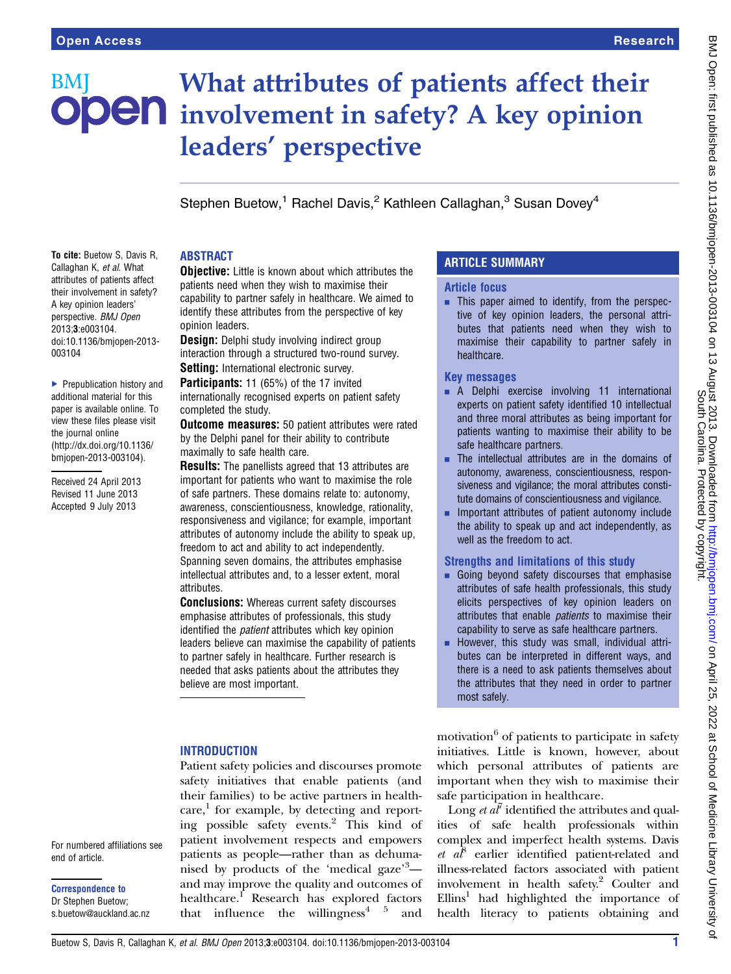# What attributes of patients affect their BMI **DDEN** involvement in safety? A key opinion leaders' perspective

Stephen Buetow,<sup>1</sup> Rachel Davis,<sup>2</sup> Kathleen Callaghan,<sup>3</sup> Susan Dovey<sup>4</sup>

## ABSTRACT

To cite: Buetow S, Davis R, Callaghan K, et al. What attributes of patients affect their involvement in safety? A key opinion leaders' perspective. BMJ Open 2013;3:e003104. doi:10.1136/bmjopen-2013 opinion leaders.

▶ Prepublication history and additional material for this paper is available online. To view these files please visit the journal online [\(http://dx.doi.org/10.1136/](http://dx.doi.org/10.1136/bmjopen-2013-003104) [bmjopen-2013-003104](http://dx.doi.org/10.1136/bmjopen-2013-003104)).

003104

Received 24 April 2013 Revised 11 June 2013 Accepted 9 July 2013

**Objective:** Little is known about which attributes the patients need when they wish to maximise their capability to partner safely in healthcare. We aimed to identify these attributes from the perspective of key

**Design:** Delphi study involving indirect group interaction through a structured two-round survey. Setting: International electronic survey.

Participants: 11 (65%) of the 17 invited internationally recognised experts on patient safety completed the study.

**Outcome measures:** 50 patient attributes were rated by the Delphi panel for their ability to contribute maximally to safe health care.

**Results:** The panellists agreed that 13 attributes are important for patients who want to maximise the role of safe partners. These domains relate to: autonomy, awareness, conscientiousness, knowledge, rationality, responsiveness and vigilance; for example, important attributes of autonomy include the ability to speak up, freedom to act and ability to act independently. Spanning seven domains, the attributes emphasise intellectual attributes and, to a lesser extent, moral attributes.

**Conclusions:** Whereas current safety discourses emphasise attributes of professionals, this study identified the *patient* attributes which key opinion leaders believe can maximise the capability of patients to partner safely in healthcare. Further research is needed that asks patients about the attributes they believe are most important.

## **INTRODUCTION**

Patient safety policies and discourses promote safety initiatives that enable patients (and their families) to be active partners in healthcare, <sup>1</sup> for example, by detecting and reporting possible safety events.<sup>2</sup> This kind of patient involvement respects and empowers patients as people—rather than as dehumanised by products of the 'medical gaze'<sup>3</sup>and may improve the quality and outcomes of healthcare.<sup>1</sup> Research has explored factors that influence the willingness<sup>4  $5$ </sup> and

# ARTICLE SUMMARY

#### Article focus

**EXECUTE:** This paper aimed to identify, from the perspective of key opinion leaders, the personal attributes that patients need when they wish to maximise their capability to partner safely in healthcare.

#### Key messages

- **A** Delphi exercise involving 11 international experts on patient safety identified 10 intellectual and three moral attributes as being important for patients wanting to maximise their ability to be safe healthcare partners.
- $\blacksquare$  The intellectual attributes are in the domains of autonomy, awareness, conscientiousness, responsiveness and vigilance; the moral attributes constitute domains of conscientiousness and vigilance.
- Important attributes of patient autonomy include the ability to speak up and act independently, as well as the freedom to act.

# Strengths and limitations of this study

- $\blacksquare$  Going beyond safety discourses that emphasise attributes of safe health professionals, this study elicits perspectives of key opinion leaders on attributes that enable patients to maximise their capability to serve as safe healthcare partners.
- However, this study was small, individual attributes can be interpreted in different ways, and there is a need to ask patients themselves about the attributes that they need in order to partner most safely.

motivation $6$  of patients to participate in safety initiatives. Little is known, however, about which personal attributes of patients are important when they wish to maximise their safe participation in healthcare.

Long *et*  $a\bar{l}$  identified the attributes and qualities of safe health professionals within complex and imperfect health systems. Davis et  $a^{\beta}$  earlier identified patient-related and illness-related factors associated with patient involvement in health safety.2 Coulter and  $Ellins<sup>1</sup>$  had highlighted the importance of health literacy to patients obtaining and

For numbered affiliations see end of article.

Correspondence to Dr Stephen Buetow; s.buetow@auckland.ac.nz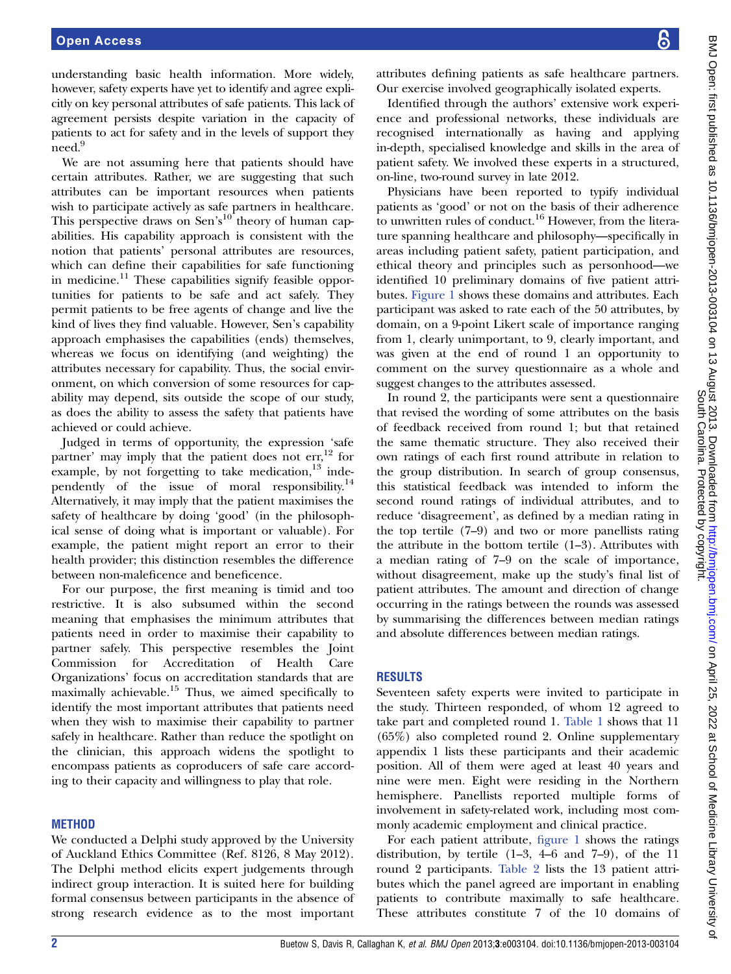understanding basic health information. More widely, however, safety experts have yet to identify and agree explicitly on key personal attributes of safe patients. This lack of agreement persists despite variation in the capacity of patients to act for safety and in the levels of support they need.<sup>9</sup>

We are not assuming here that patients should have certain attributes. Rather, we are suggesting that such attributes can be important resources when patients wish to participate actively as safe partners in healthcare. This perspective draws on Sen's<sup>10</sup> theory of human capabilities. His capability approach is consistent with the notion that patients' personal attributes are resources, which can define their capabilities for safe functioning in medicine.<sup>11</sup> These capabilities signify feasible opportunities for patients to be safe and act safely. They permit patients to be free agents of change and live the kind of lives they find valuable. However, Sen's capability approach emphasises the capabilities (ends) themselves, whereas we focus on identifying (and weighting) the attributes necessary for capability. Thus, the social environment, on which conversion of some resources for capability may depend, sits outside the scope of our study, as does the ability to assess the safety that patients have achieved or could achieve.

Judged in terms of opportunity, the expression 'safe partner' may imply that the patient does not  $err<sub>12</sub>$  for example, by not forgetting to take medication, $13$  independently of the issue of moral responsibility.14 Alternatively, it may imply that the patient maximises the safety of healthcare by doing 'good' (in the philosophical sense of doing what is important or valuable). For example, the patient might report an error to their health provider; this distinction resembles the difference between non-maleficence and beneficence.

For our purpose, the first meaning is timid and too restrictive. It is also subsumed within the second meaning that emphasises the minimum attributes that patients need in order to maximise their capability to partner safely. This perspective resembles the Joint Commission for Accreditation of Health Care Organizations' focus on accreditation standards that are maximally achievable.15 Thus, we aimed specifically to identify the most important attributes that patients need when they wish to maximise their capability to partner safely in healthcare. Rather than reduce the spotlight on the clinician, this approach widens the spotlight to encompass patients as coproducers of safe care according to their capacity and willingness to play that role.

#### **METHOD**

We conducted a Delphi study approved by the University of Auckland Ethics Committee (Ref. 8126, 8 May 2012). The Delphi method elicits expert judgements through indirect group interaction. It is suited here for building formal consensus between participants in the absence of strong research evidence as to the most important attributes defining patients as safe healthcare partners. Our exercise involved geographically isolated experts.

Identified through the authors' extensive work experience and professional networks, these individuals are recognised internationally as having and applying in-depth, specialised knowledge and skills in the area of patient safety. We involved these experts in a structured, on-line, two-round survey in late 2012.

Physicians have been reported to typify individual patients as 'good' or not on the basis of their adherence to unwritten rules of conduct.<sup>16</sup> However, from the literature spanning healthcare and philosophy—specifically in areas including patient safety, patient participation, and ethical theory and principles such as personhood—we identified 10 preliminary domains of five patient attributes. Figure 1 shows these domains and attributes. Each participant was asked to rate each of the 50 attributes, by domain, on a 9-point Likert scale of importance ranging from 1, clearly unimportant, to 9, clearly important, and was given at the end of round 1 an opportunity to comment on the survey questionnaire as a whole and suggest changes to the attributes assessed.

In round 2, the participants were sent a questionnaire that revised the wording of some attributes on the basis of feedback received from round 1; but that retained the same thematic structure. They also received their own ratings of each first round attribute in relation to the group distribution. In search of group consensus, this statistical feedback was intended to inform the second round ratings of individual attributes, and to reduce 'disagreement', as defined by a median rating in the top tertile (7–9) and two or more panellists rating the attribute in the bottom tertile (1–3). Attributes with a median rating of 7–9 on the scale of importance, without disagreement, make up the study's final list of patient attributes. The amount and direction of change occurring in the ratings between the rounds was assessed by summarising the differences between median ratings and absolute differences between median ratings.

## RESULTS

Seventeen safety experts were invited to participate in the study. Thirteen responded, of whom 12 agreed to take part and completed round 1. Table 1 shows that 11 (65%) also completed round 2. Online supplementary appendix 1 lists these participants and their academic position. All of them were aged at least 40 years and nine were men. Eight were residing in the Northern hemisphere. Panellists reported multiple forms of involvement in safety-related work, including most commonly academic employment and clinical practice.

For each patient attribute, figure 1 shows the ratings distribution, by tertile  $(1-3, 4-6, 4-6)$  and  $7-9$ , of the 11 round 2 participants. Table 2 lists the 13 patient attributes which the panel agreed are important in enabling patients to contribute maximally to safe healthcare. These attributes constitute 7 of the 10 domains of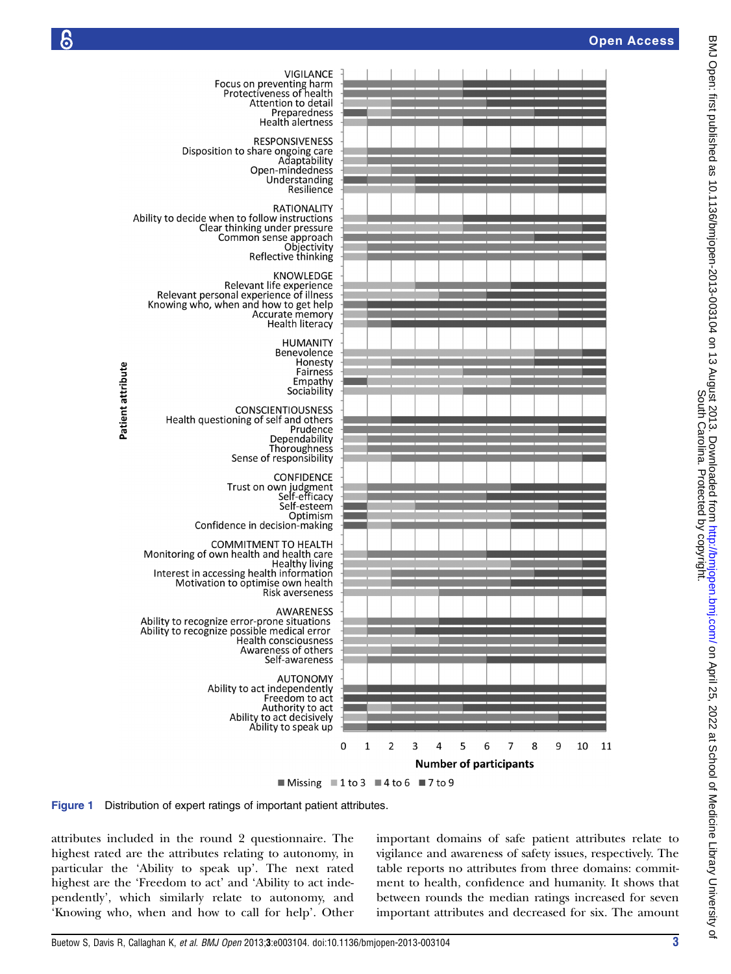

Patient attribute







attributes included in the round 2 questionnaire. The highest rated are the attributes relating to autonomy, in particular the 'Ability to speak up'. The next rated highest are the 'Freedom to act' and 'Ability to act independently', which similarly relate to autonomy, and 'Knowing who, when and how to call for help'. Other

important domains of safe patient attributes relate to vigilance and awareness of safety issues, respectively. The table reports no attributes from three domains: commitment to health, confidence and humanity. It shows that between rounds the median ratings increased for seven important attributes and decreased for six. The amount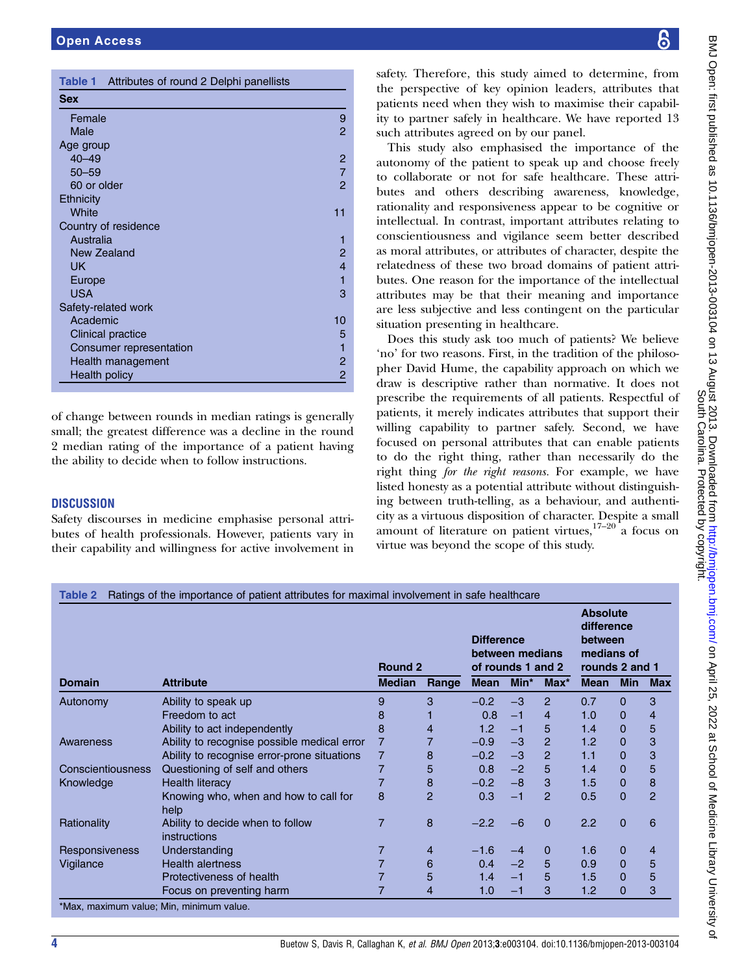| Table 1 Attributes of round 2 Delphi panellists |                |
|-------------------------------------------------|----------------|
| <b>Sex</b>                                      |                |
| Female                                          | 9              |
| Male                                            | $\mathcal{P}$  |
| Age group                                       |                |
| $40 - 49$                                       | 2              |
| $50 - 59$                                       | $\overline{7}$ |
| 60 or older                                     | $\overline{2}$ |
| Ethnicity                                       |                |
| White                                           | 11             |
| Country of residence                            |                |
| Australia                                       | 1              |
| New Zealand                                     | 2              |
| UK                                              | $\overline{4}$ |
| Europe                                          | 1              |
| <b>USA</b>                                      | 3              |
| Safety-related work                             |                |
| Academic                                        | 10             |
| <b>Clinical practice</b>                        | 5              |
| <b>Consumer representation</b>                  |                |
| Health management                               | 2              |
| <b>Health policy</b>                            | 2              |

of change between rounds in median ratings is generally small; the greatest difference was a decline in the round 2 median rating of the importance of a patient having the ability to decide when to follow instructions.

#### **DISCUSSION**

Safety discourses in medicine emphasise personal attributes of health professionals. However, patients vary in their capability and willingness for active involvement in

safety. Therefore, this study aimed to determine, from the perspective of key opinion leaders, attributes that patients need when they wish to maximise their capability to partner safely in healthcare. We have reported 13 such attributes agreed on by our panel.

This study also emphasised the importance of the autonomy of the patient to speak up and choose freely to collaborate or not for safe healthcare. These attributes and others describing awareness, knowledge, rationality and responsiveness appear to be cognitive or intellectual. In contrast, important attributes relating to conscientiousness and vigilance seem better described as moral attributes, or attributes of character, despite the relatedness of these two broad domains of patient attributes. One reason for the importance of the intellectual attributes may be that their meaning and importance are less subjective and less contingent on the particular situation presenting in healthcare.

Does this study ask too much of patients? We believe 'no' for two reasons. First, in the tradition of the philosopher David Hume, the capability approach on which we draw is descriptive rather than normative. It does not prescribe the requirements of all patients. Respectful of patients, it merely indicates attributes that support their willing capability to partner safely. Second, we have focused on personal attributes that can enable patients to do the right thing, rather than necessarily do the right thing for the right reasons. For example, we have listed honesty as a potential attribute without distinguishing between truth-telling, as a behaviour, and authenticity as a virtuous disposition of character. Despite a small amount of literature on patient virtues, $17-20$  a focus on virtue was beyond the scope of this study.

| <b>Domain</b>         | <b>Attribute</b>                                 | <b>Round 2</b> |                | <b>Difference</b><br>between medians<br>of rounds 1 and 2 |      |                | <b>Absolute</b><br>difference<br>between<br>medians of<br>rounds 2 and 1 |                |                |
|-----------------------|--------------------------------------------------|----------------|----------------|-----------------------------------------------------------|------|----------------|--------------------------------------------------------------------------|----------------|----------------|
|                       |                                                  | <b>Median</b>  | Range          | <b>Mean</b>                                               | Min* | $Max^*$        | <b>Mean</b>                                                              | <b>Min</b>     | <b>Max</b>     |
| Autonomy              | Ability to speak up                              | 9              | 3              | $-0.2$                                                    | $-3$ | $\overline{2}$ | 0.7                                                                      | 0              | 3              |
|                       | Freedom to act                                   | 8              |                | 0.8                                                       | $-1$ | $\overline{4}$ | 1.0                                                                      | $\mathbf{0}$   | $\overline{4}$ |
|                       | Ability to act independently                     | 8              | 4              | 1.2                                                       | $-1$ | 5              | 1.4                                                                      | $\overline{0}$ | 5              |
| Awareness             | Ability to recognise possible medical error      | 7              |                | $-0.9$                                                    | $-3$ | $\overline{2}$ | 1.2                                                                      | $\overline{0}$ | 3              |
|                       | Ability to recognise error-prone situations      | 7              | 8              | $-0.2$                                                    | $-3$ | $\overline{2}$ | 1.1                                                                      | $\overline{0}$ | 3              |
| Conscientiousness     | Questioning of self and others                   |                | 5              | 0.8                                                       | $-2$ | 5              | 1.4                                                                      | 0              | 5              |
| Knowledge             | <b>Health literacy</b>                           |                | 8              | $-0.2$                                                    | $-8$ | 3              | 1.5                                                                      | $\mathbf 0$    | 8              |
|                       | Knowing who, when and how to call for<br>help    | 8              | $\overline{2}$ | 0.3                                                       | $-1$ | 2              | 0.5                                                                      | $\mathbf 0$    | $\overline{2}$ |
| Rationality           | Ability to decide when to follow<br>instructions | 7              | 8              | $-2.2$                                                    | $-6$ | $\mathbf 0$    | 2.2                                                                      | $\mathbf{0}$   | 6              |
| <b>Responsiveness</b> | Understanding                                    |                | 4              | $-1.6$                                                    | $-4$ | 0              | 1.6                                                                      | $\mathbf 0$    | 4              |
| Vigilance             | <b>Health alertness</b>                          |                | 6              | 0.4                                                       | $-2$ | 5              | 0.9                                                                      | $\mathbf{0}$   | 5              |
|                       | Protectiveness of health                         |                | 5              | 1.4                                                       | $-1$ | 5              | 1.5                                                                      | $\mathbf{0}$   | 5              |
|                       | Focus on preventing harm                         | 7              | 4              | 1.0                                                       | $-1$ | 3              | 1.2                                                                      | 0              | 3              |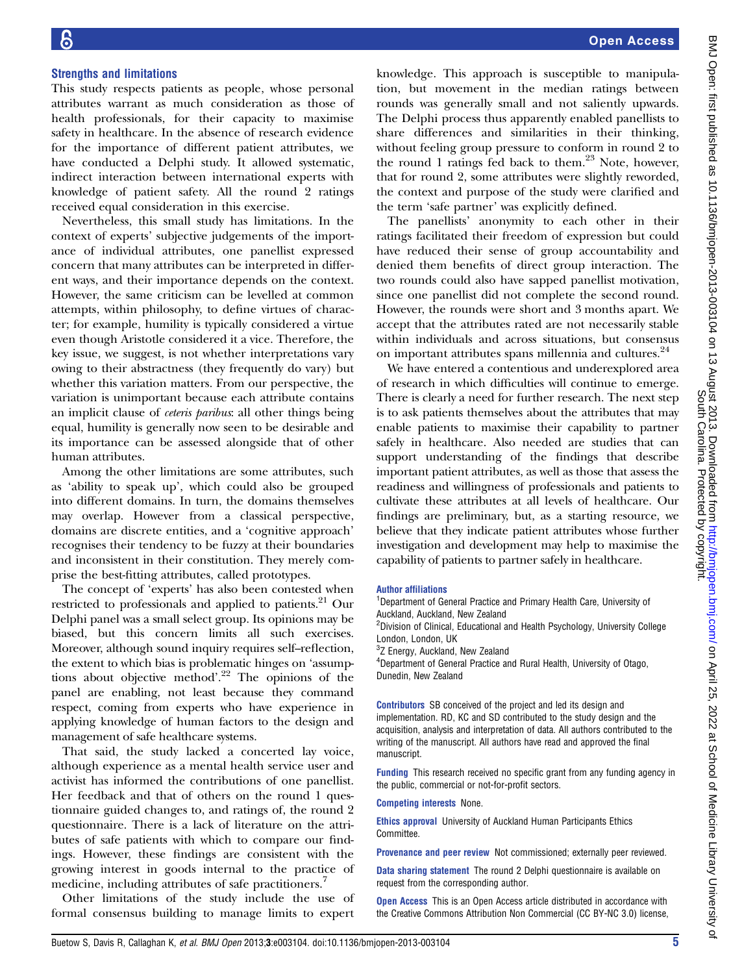#### Open Access

#### Strengths and limitations

This study respects patients as people, whose personal attributes warrant as much consideration as those of health professionals, for their capacity to maximise safety in healthcare. In the absence of research evidence for the importance of different patient attributes, we have conducted a Delphi study. It allowed systematic, indirect interaction between international experts with knowledge of patient safety. All the round 2 ratings received equal consideration in this exercise.

Nevertheless, this small study has limitations. In the context of experts' subjective judgements of the importance of individual attributes, one panellist expressed concern that many attributes can be interpreted in different ways, and their importance depends on the context. However, the same criticism can be levelled at common attempts, within philosophy, to define virtues of character; for example, humility is typically considered a virtue even though Aristotle considered it a vice. Therefore, the key issue, we suggest, is not whether interpretations vary owing to their abstractness (they frequently do vary) but whether this variation matters. From our perspective, the variation is unimportant because each attribute contains an implicit clause of ceteris paribus: all other things being equal, humility is generally now seen to be desirable and its importance can be assessed alongside that of other human attributes.

Among the other limitations are some attributes, such as 'ability to speak up', which could also be grouped into different domains. In turn, the domains themselves may overlap. However from a classical perspective, domains are discrete entities, and a 'cognitive approach' recognises their tendency to be fuzzy at their boundaries and inconsistent in their constitution. They merely comprise the best-fitting attributes, called prototypes.

The concept of 'experts' has also been contested when restricted to professionals and applied to patients.<sup>21</sup> Our Delphi panel was a small select group. Its opinions may be biased, but this concern limits all such exercises. Moreover, although sound inquiry requires self--reflection, the extent to which bias is problematic hinges on 'assumptions about objective method'. <sup>22</sup> The opinions of the panel are enabling, not least because they command respect, coming from experts who have experience in applying knowledge of human factors to the design and management of safe healthcare systems.

That said, the study lacked a concerted lay voice, although experience as a mental health service user and activist has informed the contributions of one panellist. Her feedback and that of others on the round 1 questionnaire guided changes to, and ratings of, the round 2 questionnaire. There is a lack of literature on the attributes of safe patients with which to compare our findings. However, these findings are consistent with the growing interest in goods internal to the practice of medicine, including attributes of safe practitioners.<sup>7</sup>

Other limitations of the study include the use of formal consensus building to manage limits to expert

knowledge. This approach is susceptible to manipulation, but movement in the median ratings between rounds was generally small and not saliently upwards. The Delphi process thus apparently enabled panellists to share differences and similarities in their thinking, without feeling group pressure to conform in round 2 to the round 1 ratings fed back to them.<sup>23</sup> Note, however, that for round 2, some attributes were slightly reworded, the context and purpose of the study were clarified and the term 'safe partner' was explicitly defined.

The panellists' anonymity to each other in their ratings facilitated their freedom of expression but could have reduced their sense of group accountability and denied them benefits of direct group interaction. The two rounds could also have sapped panellist motivation, since one panellist did not complete the second round. However, the rounds were short and 3 months apart. We accept that the attributes rated are not necessarily stable within individuals and across situations, but consensus on important attributes spans millennia and cultures.<sup>24</sup>

We have entered a contentious and underexplored area of research in which difficulties will continue to emerge. There is clearly a need for further research. The next step is to ask patients themselves about the attributes that may enable patients to maximise their capability to partner safely in healthcare. Also needed are studies that can support understanding of the findings that describe important patient attributes, as well as those that assess the readiness and willingness of professionals and patients to cultivate these attributes at all levels of healthcare. Our findings are preliminary, but, as a starting resource, we believe that they indicate patient attributes whose further investigation and development may help to maximise the capability of patients to partner safely in healthcare.

#### Author affiliations

<sup>1</sup>Department of General Practice and Primary Health Care, University of Auckland, Auckland, New Zealand

<sup>2</sup>Division of Clinical, Educational and Health Psychology, University College London, London, UK

<sup>3</sup>Z Energy, Auckland, New Zealand

4 Department of General Practice and Rural Health, University of Otago, Dunedin, New Zealand

Contributors SB conceived of the project and led its design and implementation. RD, KC and SD contributed to the study design and the acquisition, analysis and interpretation of data. All authors contributed to the writing of the manuscript. All authors have read and approved the final manuscript.

Funding This research received no specific grant from any funding agency in the public, commercial or not-for-profit sectors.

Competing interests None.

Ethics approval University of Auckland Human Participants Ethics Committee.

**Provenance and peer review** Not commissioned; externally peer reviewed.

Data sharing statement The round 2 Delphi questionnaire is available on request from the corresponding author.

**Open Access** This is an Open Access article distributed in accordance with the Creative Commons Attribution Non Commercial (CC BY-NC 3.0) license,